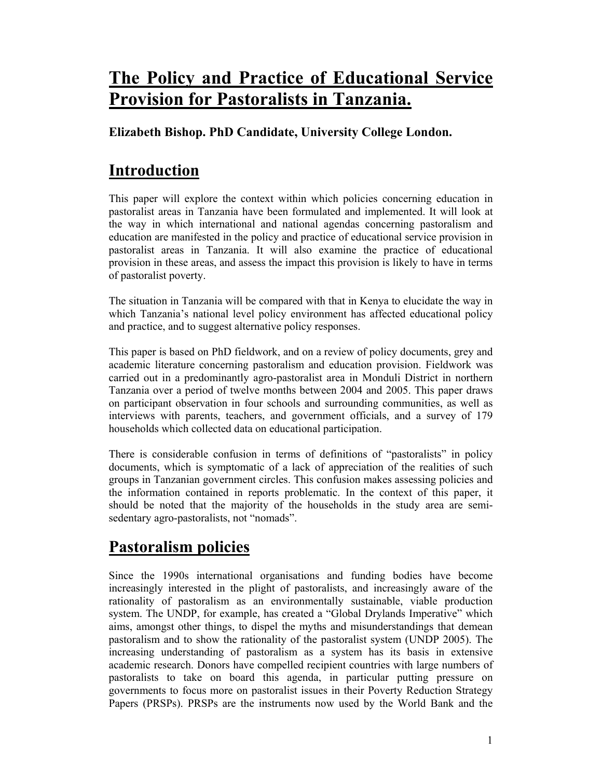# **The Policy and Practice of Educational Service Provision for Pastoralists in Tanzania.**

### **Elizabeth Bishop. PhD Candidate, University College London.**

# **Introduction**

This paper will explore the context within which policies concerning education in pastoralist areas in Tanzania have been formulated and implemented. It will look at the way in which international and national agendas concerning pastoralism and education are manifested in the policy and practice of educational service provision in pastoralist areas in Tanzania. It will also examine the practice of educational provision in these areas, and assess the impact this provision is likely to have in terms of pastoralist poverty.

The situation in Tanzania will be compared with that in Kenya to elucidate the way in which Tanzania's national level policy environment has affected educational policy and practice, and to suggest alternative policy responses.

This paper is based on PhD fieldwork, and on a review of policy documents, grey and academic literature concerning pastoralism and education provision. Fieldwork was carried out in a predominantly agro-pastoralist area in Monduli District in northern Tanzania over a period of twelve months between 2004 and 2005. This paper draws on participant observation in four schools and surrounding communities, as well as interviews with parents, teachers, and government officials, and a survey of 179 households which collected data on educational participation.

There is considerable confusion in terms of definitions of "pastoralists" in policy documents, which is symptomatic of a lack of appreciation of the realities of such groups in Tanzanian government circles. This confusion makes assessing policies and the information contained in reports problematic. In the context of this paper, it should be noted that the majority of the households in the study area are semisedentary agro-pastoralists, not "nomads".

# **Pastoralism policies**

Since the 1990s international organisations and funding bodies have become increasingly interested in the plight of pastoralists, and increasingly aware of the rationality of pastoralism as an environmentally sustainable, viable production system. The UNDP, for example, has created a "Global Drylands Imperative" which aims, amongst other things, to dispel the myths and misunderstandings that demean pastoralism and to show the rationality of the pastoralist system (UNDP 2005). The increasing understanding of pastoralism as a system has its basis in extensive academic research. Donors have compelled recipient countries with large numbers of pastoralists to take on board this agenda, in particular putting pressure on governments to focus more on pastoralist issues in their Poverty Reduction Strategy Papers (PRSPs). PRSPs are the instruments now used by the World Bank and the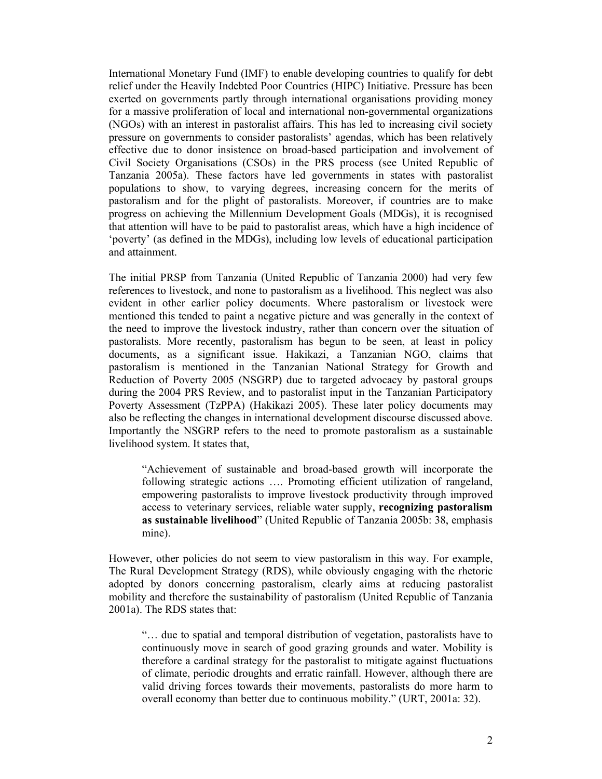International Monetary Fund (IMF) to enable developing countries to qualify for debt relief under the Heavily Indebted Poor Countries (HIPC) Initiative. Pressure has been exerted on governments partly through international organisations providing money for a massive proliferation of local and international non-governmental organizations (NGOs) with an interest in pastoralist affairs. This has led to increasing civil society pressure on governments to consider pastoralists' agendas, which has been relatively effective due to donor insistence on broad-based participation and involvement of Civil Society Organisations (CSOs) in the PRS process (see United Republic of Tanzania 2005a). These factors have led governments in states with pastoralist populations to show, to varying degrees, increasing concern for the merits of pastoralism and for the plight of pastoralists. Moreover, if countries are to make progress on achieving the Millennium Development Goals (MDGs), it is recognised that attention will have to be paid to pastoralist areas, which have a high incidence of 'poverty' (as defined in the MDGs), including low levels of educational participation and attainment.

The initial PRSP from Tanzania (United Republic of Tanzania 2000) had very few references to livestock, and none to pastoralism as a livelihood. This neglect was also evident in other earlier policy documents. Where pastoralism or livestock were mentioned this tended to paint a negative picture and was generally in the context of the need to improve the livestock industry, rather than concern over the situation of pastoralists. More recently, pastoralism has begun to be seen, at least in policy documents, as a significant issue. Hakikazi, a Tanzanian NGO, claims that pastoralism is mentioned in the Tanzanian National Strategy for Growth and Reduction of Poverty 2005 (NSGRP) due to targeted advocacy by pastoral groups during the 2004 PRS Review, and to pastoralist input in the Tanzanian Participatory Poverty Assessment (TzPPA) (Hakikazi 2005). These later policy documents may also be reflecting the changes in international development discourse discussed above. Importantly the NSGRP refers to the need to promote pastoralism as a sustainable livelihood system. It states that,

"Achievement of sustainable and broad-based growth will incorporate the following strategic actions …. Promoting efficient utilization of rangeland, empowering pastoralists to improve livestock productivity through improved access to veterinary services, reliable water supply, **recognizing pastoralism as sustainable livelihood**" (United Republic of Tanzania 2005b: 38, emphasis mine).

However, other policies do not seem to view pastoralism in this way. For example, The Rural Development Strategy (RDS), while obviously engaging with the rhetoric adopted by donors concerning pastoralism, clearly aims at reducing pastoralist mobility and therefore the sustainability of pastoralism (United Republic of Tanzania 2001a). The RDS states that:

"… due to spatial and temporal distribution of vegetation, pastoralists have to continuously move in search of good grazing grounds and water. Mobility is therefore a cardinal strategy for the pastoralist to mitigate against fluctuations of climate, periodic droughts and erratic rainfall. However, although there are valid driving forces towards their movements, pastoralists do more harm to overall economy than better due to continuous mobility." (URT, 2001a: 32).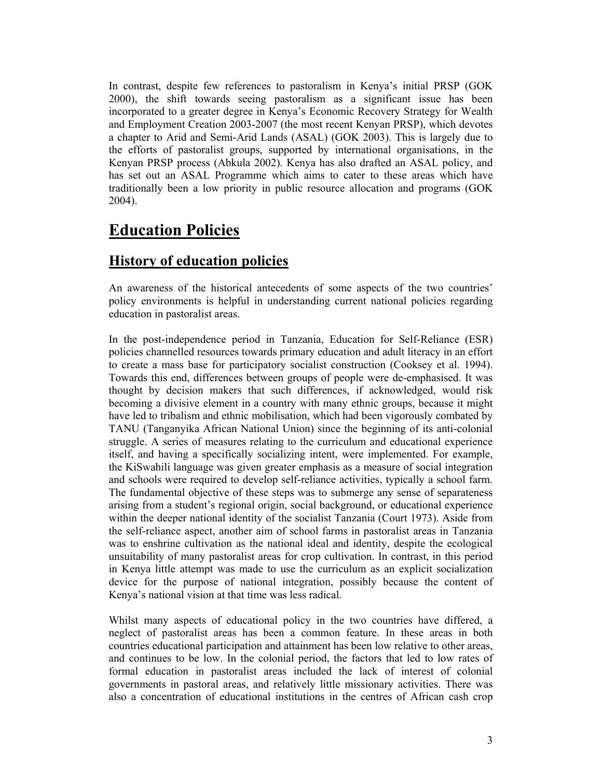In contrast, despite few references to pastoralism in Kenya's initial PRSP (GOK 2000), the shift towards seeing pastoralism as a significant issue has been incorporated to a greater degree in Kenya's Economic Recovery Strategy for Wealth and Employment Creation 2003-2007 (the most recent Kenyan PRSP), which devotes a chapter to Arid and Semi-Arid Lands (ASAL) (GOK 2003). This is largely due to the efforts of pastoralist groups, supported by international organisations, in the Kenyan PRSP process (Abkula 2002). Kenya has also drafted an ASAL policy, and has set out an ASAL Programme which aims to cater to these areas which have traditionally been a low priority in public resource allocation and programs (GOK 2004).

## **Education Policies**

### **History of education policies**

An awareness of the historical antecedents of some aspects of the two countries' policy environments is helpful in understanding current national policies regarding education in pastoralist areas.

In the post-independence period in Tanzania, Education for Self-Reliance (ESR) policies channelled resources towards primary education and adult literacy in an effort to create a mass base for participatory socialist construction (Cooksey et al. 1994). Towards this end, differences between groups of people were de-emphasised. It was thought by decision makers that such differences, if acknowledged, would risk becoming a divisive element in a country with many ethnic groups, because it might have led to tribalism and ethnic mobilisation, which had been vigorously combated by TANU (Tanganyika African National Union) since the beginning of its anti-colonial struggle. A series of measures relating to the curriculum and educational experience itself, and having a specifically socializing intent, were implemented. For example, the KiSwahili language was given greater emphasis as a measure of social integration and schools were required to develop self-reliance activities, typically a school farm. The fundamental objective of these steps was to submerge any sense of separateness arising from a student's regional origin, social background, or educational experience within the deeper national identity of the socialist Tanzania (Court 1973). Aside from the self-reliance aspect, another aim of school farms in pastoralist areas in Tanzania was to enshrine cultivation as the national ideal and identity, despite the ecological unsuitability of many pastoralist areas for crop cultivation. In contrast, in this period in Kenya little attempt was made to use the curriculum as an explicit socialization device for the purpose of national integration, possibly because the content of Kenya's national vision at that time was less radical.

Whilst many aspects of educational policy in the two countries have differed, a neglect of pastoralist areas has been a common feature. In these areas in both countries educational participation and attainment has been low relative to other areas, and continues to be low. In the colonial period, the factors that led to low rates of formal education in pastoralist areas included the lack of interest of colonial governments in pastoral areas, and relatively little missionary activities. There was also a concentration of educational institutions in the centres of African cash crop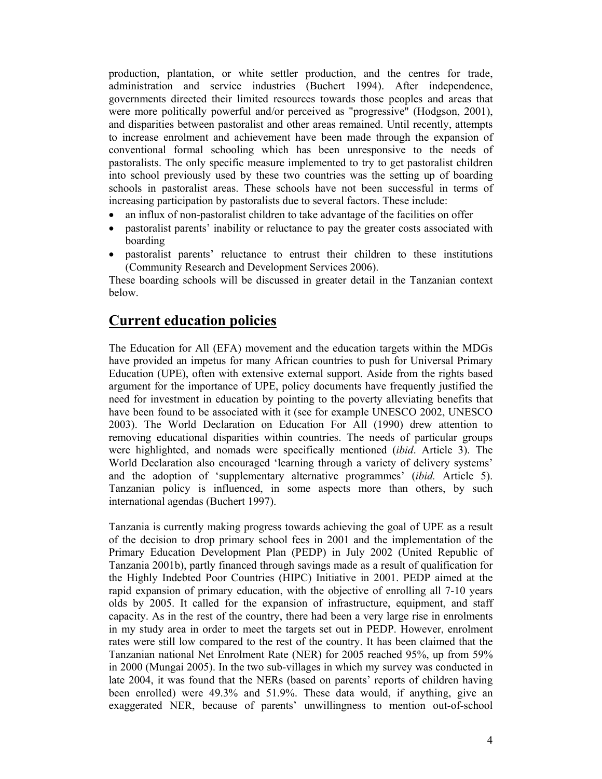production, plantation, or white settler production, and the centres for trade, administration and service industries (Buchert 1994). After independence, governments directed their limited resources towards those peoples and areas that were more politically powerful and/or perceived as "progressive" (Hodgson, 2001), and disparities between pastoralist and other areas remained. Until recently, attempts to increase enrolment and achievement have been made through the expansion of conventional formal schooling which has been unresponsive to the needs of pastoralists. The only specific measure implemented to try to get pastoralist children into school previously used by these two countries was the setting up of boarding schools in pastoralist areas. These schools have not been successful in terms of increasing participation by pastoralists due to several factors. These include:

- an influx of non-pastoralist children to take advantage of the facilities on offer
- pastoralist parents' inability or reluctance to pay the greater costs associated with boarding
- pastoralist parents' reluctance to entrust their children to these institutions (Community Research and Development Services 2006).

These boarding schools will be discussed in greater detail in the Tanzanian context below.

### **Current education policies**

The Education for All (EFA) movement and the education targets within the MDGs have provided an impetus for many African countries to push for Universal Primary Education (UPE), often with extensive external support. Aside from the rights based argument for the importance of UPE, policy documents have frequently justified the need for investment in education by pointing to the poverty alleviating benefits that have been found to be associated with it (see for example UNESCO 2002, UNESCO 2003). The World Declaration on Education For All (1990) drew attention to removing educational disparities within countries. The needs of particular groups were highlighted, and nomads were specifically mentioned (*ibid*. Article 3). The World Declaration also encouraged 'learning through a variety of delivery systems' and the adoption of 'supplementary alternative programmes' (*ibid.* Article 5). Tanzanian policy is influenced, in some aspects more than others, by such international agendas (Buchert 1997).

Tanzania is currently making progress towards achieving the goal of UPE as a result of the decision to drop primary school fees in 2001 and the implementation of the Primary Education Development Plan (PEDP) in July 2002 (United Republic of Tanzania 2001b), partly financed through savings made as a result of qualification for the Highly Indebted Poor Countries (HIPC) Initiative in 2001. PEDP aimed at the rapid expansion of primary education, with the objective of enrolling all 7-10 years olds by 2005. It called for the expansion of infrastructure, equipment, and staff capacity. As in the rest of the country, there had been a very large rise in enrolments in my study area in order to meet the targets set out in PEDP. However, enrolment rates were still low compared to the rest of the country. It has been claimed that the Tanzanian national Net Enrolment Rate (NER) for 2005 reached 95%, up from 59% in 2000 (Mungai 2005). In the two sub-villages in which my survey was conducted in late 2004, it was found that the NERs (based on parents' reports of children having been enrolled) were 49.3% and 51.9%. These data would, if anything, give an exaggerated NER, because of parents' unwillingness to mention out-of-school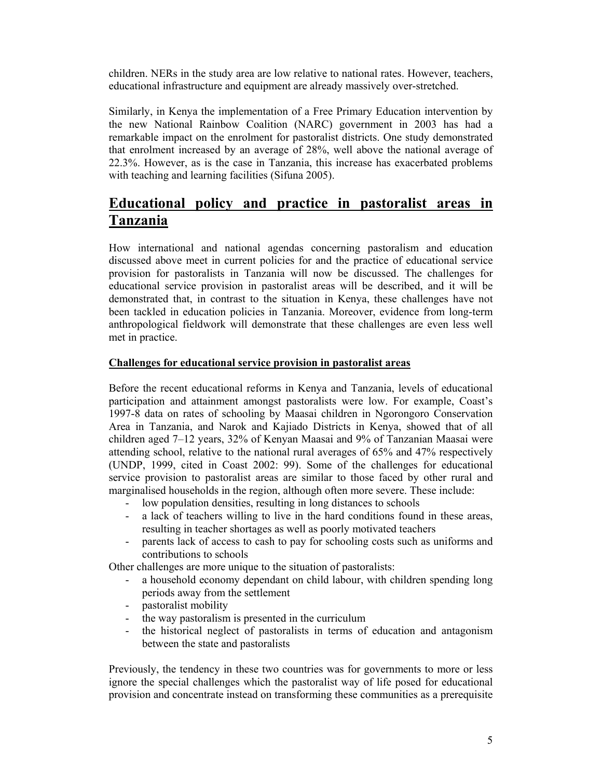children. NERs in the study area are low relative to national rates. However, teachers, educational infrastructure and equipment are already massively over-stretched.

Similarly, in Kenya the implementation of a Free Primary Education intervention by the new National Rainbow Coalition (NARC) government in 2003 has had a remarkable impact on the enrolment for pastoralist districts. One study demonstrated that enrolment increased by an average of 28%, well above the national average of 22.3%. However, as is the case in Tanzania, this increase has exacerbated problems with teaching and learning facilities (Sifuna 2005).

## **Educational policy and practice in pastoralist areas in Tanzania**

How international and national agendas concerning pastoralism and education discussed above meet in current policies for and the practice of educational service provision for pastoralists in Tanzania will now be discussed. The challenges for educational service provision in pastoralist areas will be described, and it will be demonstrated that, in contrast to the situation in Kenya, these challenges have not been tackled in education policies in Tanzania. Moreover, evidence from long-term anthropological fieldwork will demonstrate that these challenges are even less well met in practice.

#### **Challenges for educational service provision in pastoralist areas**

Before the recent educational reforms in Kenya and Tanzania, levels of educational participation and attainment amongst pastoralists were low. For example, Coast's 1997-8 data on rates of schooling by Maasai children in Ngorongoro Conservation Area in Tanzania, and Narok and Kajiado Districts in Kenya, showed that of all children aged 7–12 years, 32% of Kenyan Maasai and 9% of Tanzanian Maasai were attending school, relative to the national rural averages of 65% and 47% respectively (UNDP, 1999, cited in Coast 2002: 99). Some of the challenges for educational service provision to pastoralist areas are similar to those faced by other rural and marginalised households in the region, although often more severe. These include:

- low population densities, resulting in long distances to schools
- a lack of teachers willing to live in the hard conditions found in these areas, resulting in teacher shortages as well as poorly motivated teachers
- parents lack of access to cash to pay for schooling costs such as uniforms and contributions to schools

Other challenges are more unique to the situation of pastoralists:

- a household economy dependant on child labour, with children spending long periods away from the settlement
- pastoralist mobility
- the way pastoralism is presented in the curriculum
- the historical neglect of pastoralists in terms of education and antagonism between the state and pastoralists

Previously, the tendency in these two countries was for governments to more or less ignore the special challenges which the pastoralist way of life posed for educational provision and concentrate instead on transforming these communities as a prerequisite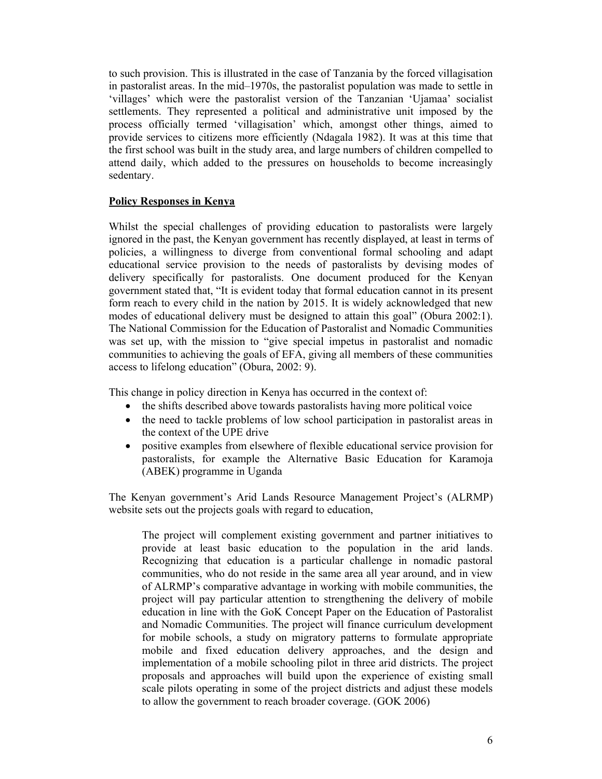to such provision. This is illustrated in the case of Tanzania by the forced villagisation in pastoralist areas. In the mid–1970s, the pastoralist population was made to settle in 'villages' which were the pastoralist version of the Tanzanian 'Ujamaa' socialist settlements. They represented a political and administrative unit imposed by the process officially termed 'villagisation' which, amongst other things, aimed to provide services to citizens more efficiently (Ndagala 1982). It was at this time that the first school was built in the study area, and large numbers of children compelled to attend daily, which added to the pressures on households to become increasingly sedentary.

#### **Policy Responses in Kenya**

Whilst the special challenges of providing education to pastoralists were largely ignored in the past, the Kenyan government has recently displayed, at least in terms of policies, a willingness to diverge from conventional formal schooling and adapt educational service provision to the needs of pastoralists by devising modes of delivery specifically for pastoralists. One document produced for the Kenyan government stated that, "It is evident today that formal education cannot in its present form reach to every child in the nation by 2015. It is widely acknowledged that new modes of educational delivery must be designed to attain this goal" (Obura 2002:1). The National Commission for the Education of Pastoralist and Nomadic Communities was set up, with the mission to "give special impetus in pastoralist and nomadic communities to achieving the goals of EFA, giving all members of these communities access to lifelong education" (Obura, 2002: 9).

This change in policy direction in Kenya has occurred in the context of:

- the shifts described above towards pastoralists having more political voice
- the need to tackle problems of low school participation in pastoralist areas in the context of the UPE drive
- positive examples from elsewhere of flexible educational service provision for pastoralists, for example the Alternative Basic Education for Karamoja (ABEK) programme in Uganda

The Kenyan government's Arid Lands Resource Management Project's (ALRMP) website sets out the projects goals with regard to education,

The project will complement existing government and partner initiatives to provide at least basic education to the population in the arid lands. Recognizing that education is a particular challenge in nomadic pastoral communities, who do not reside in the same area all year around, and in view of ALRMP's comparative advantage in working with mobile communities, the project will pay particular attention to strengthening the delivery of mobile education in line with the GoK Concept Paper on the Education of Pastoralist and Nomadic Communities. The project will finance curriculum development for mobile schools, a study on migratory patterns to formulate appropriate mobile and fixed education delivery approaches, and the design and implementation of a mobile schooling pilot in three arid districts. The project proposals and approaches will build upon the experience of existing small scale pilots operating in some of the project districts and adjust these models to allow the government to reach broader coverage. (GOK 2006)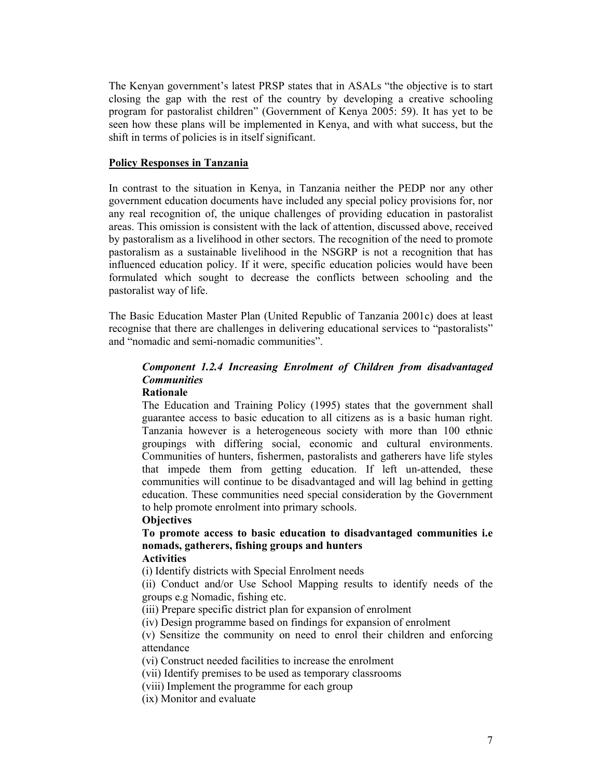The Kenyan government's latest PRSP states that in ASALs "the objective is to start closing the gap with the rest of the country by developing a creative schooling program for pastoralist children" (Government of Kenya 2005: 59). It has yet to be seen how these plans will be implemented in Kenya, and with what success, but the shift in terms of policies is in itself significant.

#### **Policy Responses in Tanzania**

In contrast to the situation in Kenya, in Tanzania neither the PEDP nor any other government education documents have included any special policy provisions for, nor any real recognition of, the unique challenges of providing education in pastoralist areas. This omission is consistent with the lack of attention, discussed above, received by pastoralism as a livelihood in other sectors. The recognition of the need to promote pastoralism as a sustainable livelihood in the NSGRP is not a recognition that has influenced education policy. If it were, specific education policies would have been formulated which sought to decrease the conflicts between schooling and the pastoralist way of life.

The Basic Education Master Plan (United Republic of Tanzania 2001c) does at least recognise that there are challenges in delivering educational services to "pastoralists" and "nomadic and semi-nomadic communities".

#### *Component 1.2.4 Increasing Enrolment of Children from disadvantaged Communities*

#### **Rationale**

The Education and Training Policy (1995) states that the government shall guarantee access to basic education to all citizens as is a basic human right. Tanzania however is a heterogeneous society with more than 100 ethnic groupings with differing social, economic and cultural environments. Communities of hunters, fishermen, pastoralists and gatherers have life styles that impede them from getting education. If left un-attended, these communities will continue to be disadvantaged and will lag behind in getting education. These communities need special consideration by the Government to help promote enrolment into primary schools.

#### **Objectives**

### **To promote access to basic education to disadvantaged communities i.e nomads, gatherers, fishing groups and hunters**

#### **Activities**

(i) Identify districts with Special Enrolment needs

(ii) Conduct and/or Use School Mapping results to identify needs of the groups e.g Nomadic, fishing etc.

(iii) Prepare specific district plan for expansion of enrolment

(iv) Design programme based on findings for expansion of enrolment

(v) Sensitize the community on need to enrol their children and enforcing attendance

(vi) Construct needed facilities to increase the enrolment

(vii) Identify premises to be used as temporary classrooms

(viii) Implement the programme for each group

(ix) Monitor and evaluate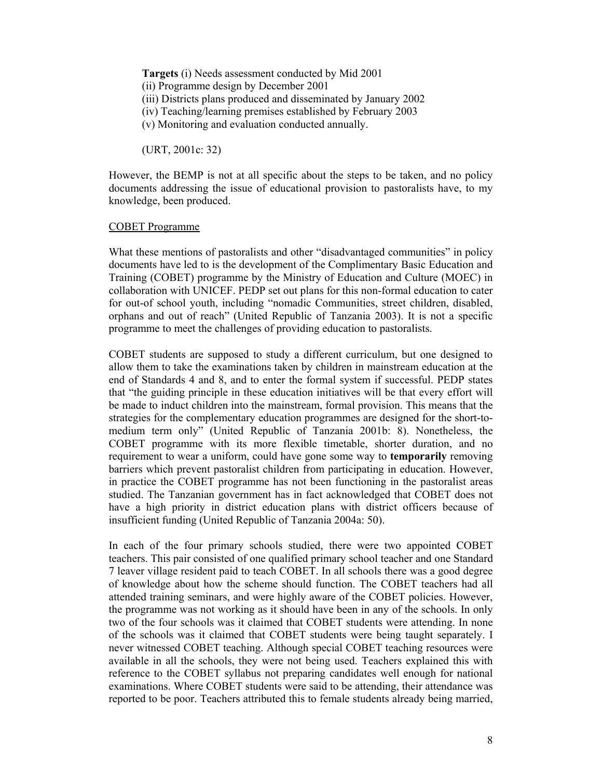**Targets** (i) Needs assessment conducted by Mid 2001 (ii) Programme design by December 2001 (iii) Districts plans produced and disseminated by January 2002 (iv) Teaching/learning premises established by February 2003 (v) Monitoring and evaluation conducted annually.

(URT, 2001c: 32)

However, the BEMP is not at all specific about the steps to be taken, and no policy documents addressing the issue of educational provision to pastoralists have, to my knowledge, been produced.

#### COBET Programme

What these mentions of pastoralists and other "disadvantaged communities" in policy documents have led to is the development of the Complimentary Basic Education and Training (COBET) programme by the Ministry of Education and Culture (MOEC) in collaboration with UNICEF. PEDP set out plans for this non-formal education to cater for out-of school youth, including "nomadic Communities, street children, disabled, orphans and out of reach" (United Republic of Tanzania 2003). It is not a specific programme to meet the challenges of providing education to pastoralists.

COBET students are supposed to study a different curriculum, but one designed to allow them to take the examinations taken by children in mainstream education at the end of Standards 4 and 8, and to enter the formal system if successful. PEDP states that "the guiding principle in these education initiatives will be that every effort will be made to induct children into the mainstream, formal provision. This means that the strategies for the complementary education programmes are designed for the short-tomedium term only" (United Republic of Tanzania 2001b: 8). Nonetheless, the COBET programme with its more flexible timetable, shorter duration, and no requirement to wear a uniform, could have gone some way to **temporarily** removing barriers which prevent pastoralist children from participating in education. However, in practice the COBET programme has not been functioning in the pastoralist areas studied. The Tanzanian government has in fact acknowledged that COBET does not have a high priority in district education plans with district officers because of insufficient funding (United Republic of Tanzania 2004a: 50).

In each of the four primary schools studied, there were two appointed COBET teachers. This pair consisted of one qualified primary school teacher and one Standard 7 leaver village resident paid to teach COBET. In all schools there was a good degree of knowledge about how the scheme should function. The COBET teachers had all attended training seminars, and were highly aware of the COBET policies. However, the programme was not working as it should have been in any of the schools. In only two of the four schools was it claimed that COBET students were attending. In none of the schools was it claimed that COBET students were being taught separately. I never witnessed COBET teaching. Although special COBET teaching resources were available in all the schools, they were not being used. Teachers explained this with reference to the COBET syllabus not preparing candidates well enough for national examinations. Where COBET students were said to be attending, their attendance was reported to be poor. Teachers attributed this to female students already being married,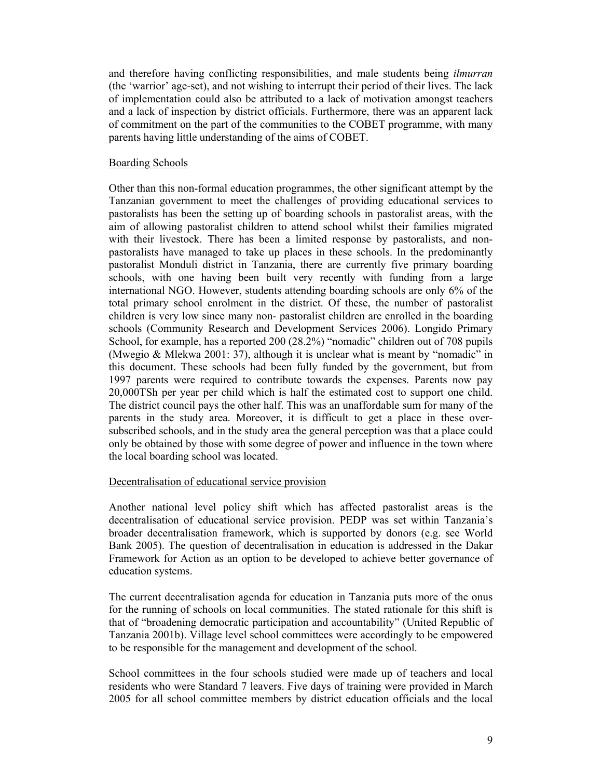and therefore having conflicting responsibilities, and male students being *ilmurran* (the 'warrior' age-set), and not wishing to interrupt their period of their lives. The lack of implementation could also be attributed to a lack of motivation amongst teachers and a lack of inspection by district officials. Furthermore, there was an apparent lack of commitment on the part of the communities to the COBET programme, with many parents having little understanding of the aims of COBET.

#### Boarding Schools

Other than this non-formal education programmes, the other significant attempt by the Tanzanian government to meet the challenges of providing educational services to pastoralists has been the setting up of boarding schools in pastoralist areas, with the aim of allowing pastoralist children to attend school whilst their families migrated with their livestock. There has been a limited response by pastoralists, and nonpastoralists have managed to take up places in these schools. In the predominantly pastoralist Monduli district in Tanzania, there are currently five primary boarding schools, with one having been built very recently with funding from a large international NGO. However, students attending boarding schools are only 6% of the total primary school enrolment in the district. Of these, the number of pastoralist children is very low since many non- pastoralist children are enrolled in the boarding schools (Community Research and Development Services 2006). Longido Primary School, for example, has a reported 200 (28.2%) "nomadic" children out of 708 pupils (Mwegio & Mlekwa 2001: 37), although it is unclear what is meant by "nomadic" in this document. These schools had been fully funded by the government, but from 1997 parents were required to contribute towards the expenses. Parents now pay 20,000TSh per year per child which is half the estimated cost to support one child. The district council pays the other half. This was an unaffordable sum for many of the parents in the study area. Moreover, it is difficult to get a place in these oversubscribed schools, and in the study area the general perception was that a place could only be obtained by those with some degree of power and influence in the town where the local boarding school was located.

#### Decentralisation of educational service provision

Another national level policy shift which has affected pastoralist areas is the decentralisation of educational service provision. PEDP was set within Tanzania's broader decentralisation framework, which is supported by donors (e.g. see World Bank 2005). The question of decentralisation in education is addressed in the Dakar Framework for Action as an option to be developed to achieve better governance of education systems.

The current decentralisation agenda for education in Tanzania puts more of the onus for the running of schools on local communities. The stated rationale for this shift is that of "broadening democratic participation and accountability" (United Republic of Tanzania 2001b). Village level school committees were accordingly to be empowered to be responsible for the management and development of the school.

School committees in the four schools studied were made up of teachers and local residents who were Standard 7 leavers. Five days of training were provided in March 2005 for all school committee members by district education officials and the local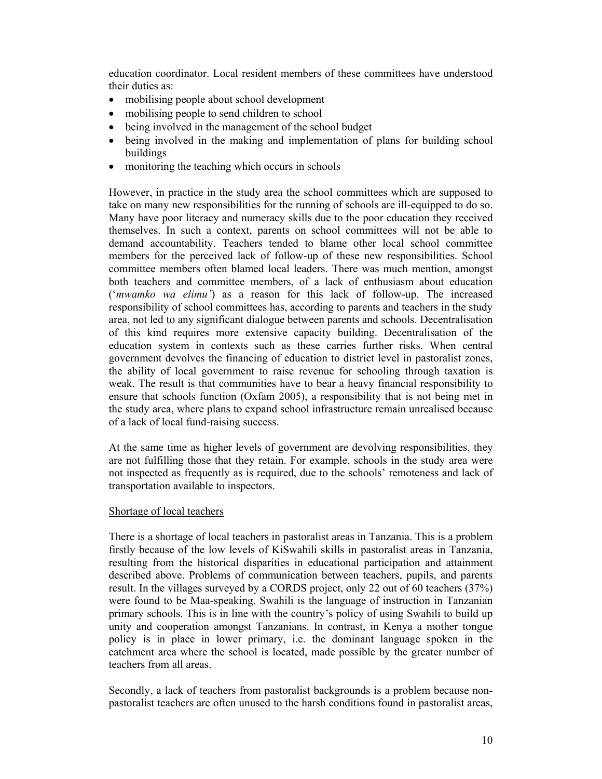education coordinator. Local resident members of these committees have understood their duties as:

- mobilising people about school development
- mobilising people to send children to school
- being involved in the management of the school budget
- being involved in the making and implementation of plans for building school buildings
- monitoring the teaching which occurs in schools

However, in practice in the study area the school committees which are supposed to take on many new responsibilities for the running of schools are ill-equipped to do so. Many have poor literacy and numeracy skills due to the poor education they received themselves. In such a context, parents on school committees will not be able to demand accountability. Teachers tended to blame other local school committee members for the perceived lack of follow-up of these new responsibilities. School committee members often blamed local leaders. There was much mention, amongst both teachers and committee members, of a lack of enthusiasm about education ('*mwamko wa elimu'*) as a reason for this lack of follow-up. The increased responsibility of school committees has, according to parents and teachers in the study area, not led to any significant dialogue between parents and schools. Decentralisation of this kind requires more extensive capacity building. Decentralisation of the education system in contexts such as these carries further risks. When central government devolves the financing of education to district level in pastoralist zones, the ability of local government to raise revenue for schooling through taxation is weak. The result is that communities have to bear a heavy financial responsibility to ensure that schools function (Oxfam 2005), a responsibility that is not being met in the study area, where plans to expand school infrastructure remain unrealised because of a lack of local fund-raising success.

At the same time as higher levels of government are devolving responsibilities, they are not fulfilling those that they retain. For example, schools in the study area were not inspected as frequently as is required, due to the schools' remoteness and lack of transportation available to inspectors.

#### Shortage of local teachers

There is a shortage of local teachers in pastoralist areas in Tanzania. This is a problem firstly because of the low levels of KiSwahili skills in pastoralist areas in Tanzania, resulting from the historical disparities in educational participation and attainment described above. Problems of communication between teachers, pupils, and parents result. In the villages surveyed by a CORDS project, only 22 out of 60 teachers (37%) were found to be Maa-speaking. Swahili is the language of instruction in Tanzanian primary schools. This is in line with the country's policy of using Swahili to build up unity and cooperation amongst Tanzanians. In contrast, in Kenya a mother tongue policy is in place in lower primary, i.e. the dominant language spoken in the catchment area where the school is located, made possible by the greater number of teachers from all areas.

Secondly, a lack of teachers from pastoralist backgrounds is a problem because nonpastoralist teachers are often unused to the harsh conditions found in pastoralist areas,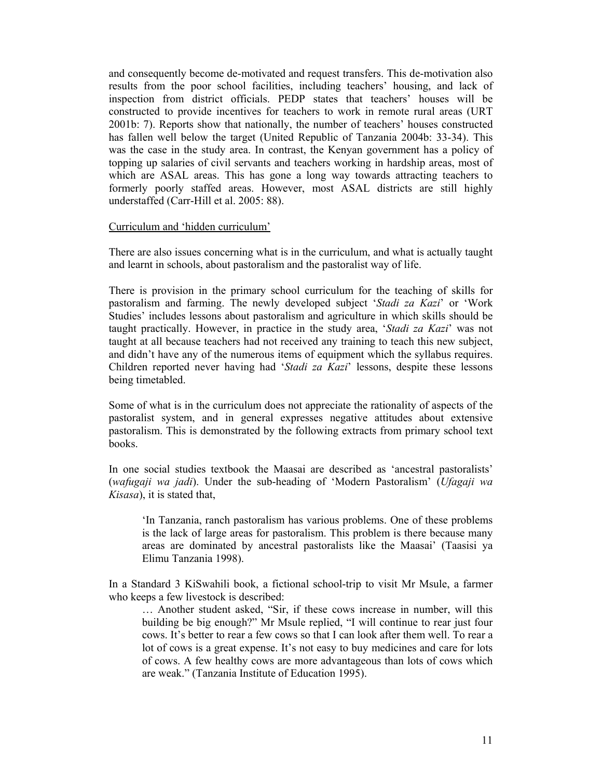and consequently become de-motivated and request transfers. This de-motivation also results from the poor school facilities, including teachers' housing, and lack of inspection from district officials. PEDP states that teachers' houses will be constructed to provide incentives for teachers to work in remote rural areas (URT 2001b: 7). Reports show that nationally, the number of teachers' houses constructed has fallen well below the target (United Republic of Tanzania 2004b: 33-34). This was the case in the study area. In contrast, the Kenyan government has a policy of topping up salaries of civil servants and teachers working in hardship areas, most of which are ASAL areas. This has gone a long way towards attracting teachers to formerly poorly staffed areas. However, most ASAL districts are still highly understaffed (Carr-Hill et al. 2005: 88).

#### Curriculum and 'hidden curriculum'

There are also issues concerning what is in the curriculum, and what is actually taught and learnt in schools, about pastoralism and the pastoralist way of life.

There is provision in the primary school curriculum for the teaching of skills for pastoralism and farming. The newly developed subject '*Stadi za Kazi*' or 'Work Studies' includes lessons about pastoralism and agriculture in which skills should be taught practically. However, in practice in the study area, '*Stadi za Kazi*' was not taught at all because teachers had not received any training to teach this new subject, and didn't have any of the numerous items of equipment which the syllabus requires. Children reported never having had '*Stadi za Kazi*' lessons, despite these lessons being timetabled.

Some of what is in the curriculum does not appreciate the rationality of aspects of the pastoralist system, and in general expresses negative attitudes about extensive pastoralism. This is demonstrated by the following extracts from primary school text books.

In one social studies textbook the Maasai are described as 'ancestral pastoralists' (*wafugaji wa jadi*). Under the sub-heading of 'Modern Pastoralism' (*Ufagaji wa Kisasa*), it is stated that,

'In Tanzania, ranch pastoralism has various problems. One of these problems is the lack of large areas for pastoralism. This problem is there because many areas are dominated by ancestral pastoralists like the Maasai' (Taasisi ya Elimu Tanzania 1998).

In a Standard 3 KiSwahili book, a fictional school-trip to visit Mr Msule, a farmer who keeps a few livestock is described:

… Another student asked, "Sir, if these cows increase in number, will this building be big enough?" Mr Msule replied, "I will continue to rear just four cows. It's better to rear a few cows so that I can look after them well. To rear a lot of cows is a great expense. It's not easy to buy medicines and care for lots of cows. A few healthy cows are more advantageous than lots of cows which are weak." (Tanzania Institute of Education 1995).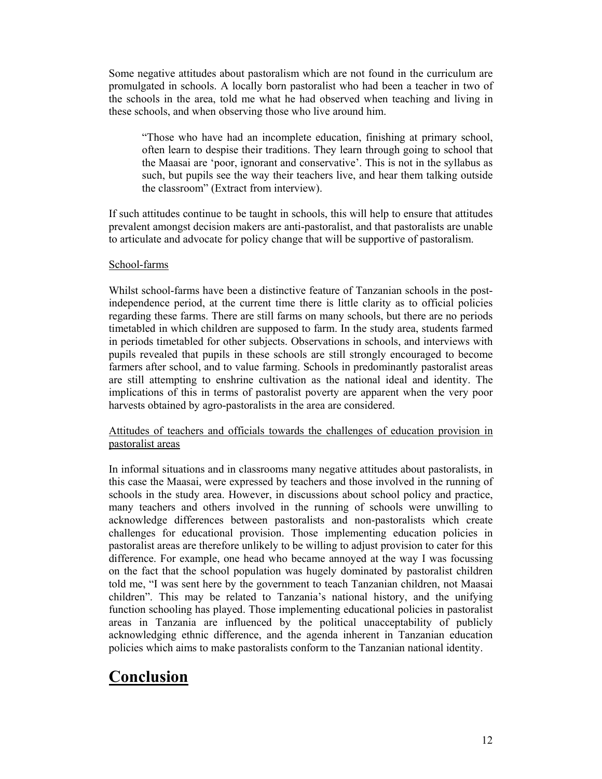Some negative attitudes about pastoralism which are not found in the curriculum are promulgated in schools. A locally born pastoralist who had been a teacher in two of the schools in the area, told me what he had observed when teaching and living in these schools, and when observing those who live around him.

"Those who have had an incomplete education, finishing at primary school, often learn to despise their traditions. They learn through going to school that the Maasai are 'poor, ignorant and conservative'. This is not in the syllabus as such, but pupils see the way their teachers live, and hear them talking outside the classroom" (Extract from interview).

If such attitudes continue to be taught in schools, this will help to ensure that attitudes prevalent amongst decision makers are anti-pastoralist, and that pastoralists are unable to articulate and advocate for policy change that will be supportive of pastoralism.

#### School-farms

Whilst school-farms have been a distinctive feature of Tanzanian schools in the postindependence period, at the current time there is little clarity as to official policies regarding these farms. There are still farms on many schools, but there are no periods timetabled in which children are supposed to farm. In the study area, students farmed in periods timetabled for other subjects. Observations in schools, and interviews with pupils revealed that pupils in these schools are still strongly encouraged to become farmers after school, and to value farming. Schools in predominantly pastoralist areas are still attempting to enshrine cultivation as the national ideal and identity. The implications of this in terms of pastoralist poverty are apparent when the very poor harvests obtained by agro-pastoralists in the area are considered.

#### Attitudes of teachers and officials towards the challenges of education provision in pastoralist areas

In informal situations and in classrooms many negative attitudes about pastoralists, in this case the Maasai, were expressed by teachers and those involved in the running of schools in the study area. However, in discussions about school policy and practice, many teachers and others involved in the running of schools were unwilling to acknowledge differences between pastoralists and non-pastoralists which create challenges for educational provision. Those implementing education policies in pastoralist areas are therefore unlikely to be willing to adjust provision to cater for this difference. For example, one head who became annoyed at the way I was focussing on the fact that the school population was hugely dominated by pastoralist children told me, "I was sent here by the government to teach Tanzanian children, not Maasai children". This may be related to Tanzania's national history, and the unifying function schooling has played. Those implementing educational policies in pastoralist areas in Tanzania are influenced by the political unacceptability of publicly acknowledging ethnic difference, and the agenda inherent in Tanzanian education policies which aims to make pastoralists conform to the Tanzanian national identity.

## **Conclusion**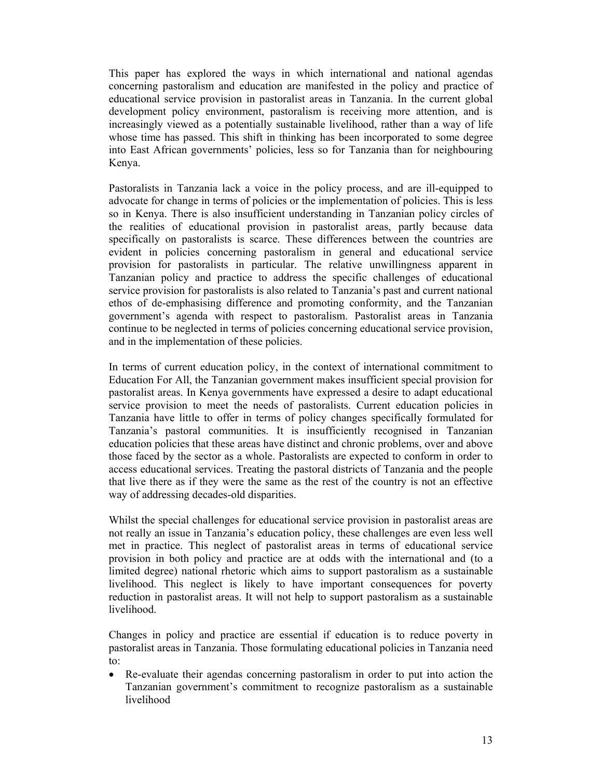This paper has explored the ways in which international and national agendas concerning pastoralism and education are manifested in the policy and practice of educational service provision in pastoralist areas in Tanzania. In the current global development policy environment, pastoralism is receiving more attention, and is increasingly viewed as a potentially sustainable livelihood, rather than a way of life whose time has passed. This shift in thinking has been incorporated to some degree into East African governments' policies, less so for Tanzania than for neighbouring Kenya.

Pastoralists in Tanzania lack a voice in the policy process, and are ill-equipped to advocate for change in terms of policies or the implementation of policies. This is less so in Kenya. There is also insufficient understanding in Tanzanian policy circles of the realities of educational provision in pastoralist areas, partly because data specifically on pastoralists is scarce. These differences between the countries are evident in policies concerning pastoralism in general and educational service provision for pastoralists in particular. The relative unwillingness apparent in Tanzanian policy and practice to address the specific challenges of educational service provision for pastoralists is also related to Tanzania's past and current national ethos of de-emphasising difference and promoting conformity, and the Tanzanian government's agenda with respect to pastoralism. Pastoralist areas in Tanzania continue to be neglected in terms of policies concerning educational service provision, and in the implementation of these policies.

In terms of current education policy, in the context of international commitment to Education For All, the Tanzanian government makes insufficient special provision for pastoralist areas. In Kenya governments have expressed a desire to adapt educational service provision to meet the needs of pastoralists. Current education policies in Tanzania have little to offer in terms of policy changes specifically formulated for Tanzania's pastoral communities. It is insufficiently recognised in Tanzanian education policies that these areas have distinct and chronic problems, over and above those faced by the sector as a whole. Pastoralists are expected to conform in order to access educational services. Treating the pastoral districts of Tanzania and the people that live there as if they were the same as the rest of the country is not an effective way of addressing decades-old disparities.

Whilst the special challenges for educational service provision in pastoralist areas are not really an issue in Tanzania's education policy, these challenges are even less well met in practice. This neglect of pastoralist areas in terms of educational service provision in both policy and practice are at odds with the international and (to a limited degree) national rhetoric which aims to support pastoralism as a sustainable livelihood. This neglect is likely to have important consequences for poverty reduction in pastoralist areas. It will not help to support pastoralism as a sustainable livelihood.

Changes in policy and practice are essential if education is to reduce poverty in pastoralist areas in Tanzania. Those formulating educational policies in Tanzania need to:

• Re-evaluate their agendas concerning pastoralism in order to put into action the Tanzanian government's commitment to recognize pastoralism as a sustainable livelihood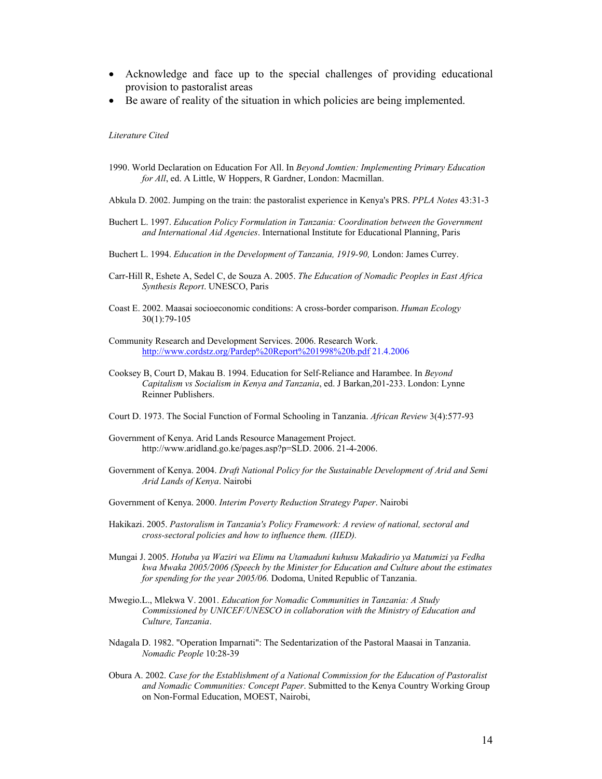- Acknowledge and face up to the special challenges of providing educational provision to pastoralist areas
- Be aware of reality of the situation in which policies are being implemented.

#### *Literature Cited*

- 1990. World Declaration on Education For All. In *Beyond Jomtien: Implementing Primary Education for All*, ed. A Little, W Hoppers, R Gardner, London: Macmillan.
- Abkula D. 2002. Jumping on the train: the pastoralist experience in Kenya's PRS. *PPLA Notes* 43:31-3
- Buchert L. 1997. *Education Policy Formulation in Tanzania: Coordination between the Government and International Aid Agencies*. International Institute for Educational Planning, Paris
- Buchert L. 1994. *Education in the Development of Tanzania, 1919-90,* London: James Currey.
- Carr-Hill R, Eshete A, Sedel C, de Souza A. 2005. *The Education of Nomadic Peoples in East Africa Synthesis Report*. UNESCO, Paris
- Coast E. 2002. Maasai socioeconomic conditions: A cross-border comparison. *Human Ecology* 30(1):79-105
- Community Research and Development Services. 2006. Research Work. http://www.cordstz.org/Pardep%20Report%201998%20b.pdf 21.4.2006
- Cooksey B, Court D, Makau B. 1994. Education for Self-Reliance and Harambee. In *Beyond Capitalism vs Socialism in Kenya and Tanzania*, ed. J Barkan,201-233. London: Lynne Reinner Publishers.
- Court D. 1973. The Social Function of Formal Schooling in Tanzania. *African Review* 3(4):577-93
- Government of Kenya. Arid Lands Resource Management Project. http://www.aridland.go.ke/pages.asp?p=SLD. 2006. 21-4-2006.
- Government of Kenya. 2004. *Draft National Policy for the Sustainable Development of Arid and Semi Arid Lands of Kenya*. Nairobi
- Government of Kenya. 2000. *Interim Poverty Reduction Strategy Paper*. Nairobi
- Hakikazi. 2005. *Pastoralism in Tanzania's Policy Framework: A review of national, sectoral and cross-sectoral policies and how to influence them. (IIED).*
- Mungai J. 2005. *Hotuba ya Waziri wa Elimu na Utamaduni kuhusu Makadirio ya Matumizi ya Fedha kwa Mwaka 2005/2006 (Speech by the Minister for Education and Culture about the estimates for spending for the year 2005/06.* Dodoma, United Republic of Tanzania.
- Mwegio.L., Mlekwa V. 2001. *Education for Nomadic Communities in Tanzania: A Study Commissioned by UNICEF/UNESCO in collaboration with the Ministry of Education and Culture, Tanzania*.
- Ndagala D. 1982. "Operation Imparnati": The Sedentarization of the Pastoral Maasai in Tanzania. *Nomadic People* 10:28-39
- Obura A. 2002. *Case for the Establishment of a National Commission for the Education of Pastoralist and Nomadic Communities: Concept Paper*. Submitted to the Kenya Country Working Group on Non-Formal Education, MOEST, Nairobi,